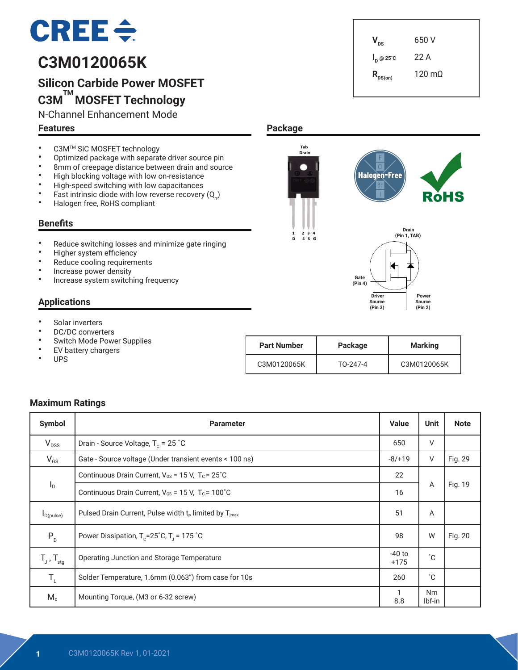# $CRE \div$

# **C3M0120065K**

# **Silicon Carbide Power MOSFET C3M TM MOSFET Technology**

N-Channel Enhancement Mode

#### **Features**

 $V_{DS}$  650 V **I <sup>D</sup> @ 25˚C** 22 A  $R_{DS(on)}$  120 mΩ

 **Drain (Pin 1, TAB)**

 **Power Source (Pin 2)**

RòHS

- C3M<sup>TM</sup> SiC MOSFET technology
- Optimized package with separate driver source pin<br>• 8mm of creenage distance between drain and sourc
- 8mm of creepage distance between drain and source<br>• High blocking voltage with low on registance
- High blocking voltage with low on-resistance<br>• High-eneed switching with low canacitances
- High-speed switching with low capacitances<br>• Fact intrinsic diade with low reverse resources
- Fast intrinsic diode with low reverse recovery  $(Q_n)$ <br>• Halogen free BoHS complient
- Halogen free, RoHS compliant

#### **Benefits**

- Reduce switching losses and minimize gate ringing
- Higher system efficiency
- Reduce cooling requirements
- Increase power density
- Increase system switching frequency

#### **Applications**

- Solar inverters
- DC/DC converters
- Switch Mode Power Supplies<br>• EV battery oberases
- EV battery chargers
- UPS

| <b>Part Number</b> | Package  | <b>Marking</b> |  |
|--------------------|----------|----------------|--|
| C3M0120065K        | TO-247-4 | C3M0120065K    |  |

 **Driver Source (Pin 3)**

K

**Halogen-Free** 

**Gate (Pin 4)**

#### **Maximum Ratings**

| Symbol                     | <b>Parameter</b>                                                                                                                               | <b>Value</b>       | <b>Unit</b>         | <b>Note</b> |
|----------------------------|------------------------------------------------------------------------------------------------------------------------------------------------|--------------------|---------------------|-------------|
| $V_{DSS}$                  | Drain - Source Voltage, $T_c = 25$ °C                                                                                                          | 650                | V                   |             |
| $V_{GS}$                   | Gate - Source voltage (Under transient events < 100 ns)                                                                                        | $-8/+19$           | V                   | Fig. 29     |
|                            | Continuous Drain Current, $V_{GS}$ = 15 V, $T_c$ = 25°C<br>$\mathsf{I}_\mathsf{D}$<br>Continuous Drain Current, $V_{GS}$ = 15 V, $T_c$ = 100°C |                    | A                   | Fig. 19     |
|                            |                                                                                                                                                |                    |                     |             |
| $I_{D(pulse)}$             | Pulsed Drain Current, Pulse width $t_p$ limited by $T_{imax}$                                                                                  | 51                 | A                   |             |
| $P_{D}$                    | Power Dissipation, $T_c = 25^\circ C$ , $T_1 = 175^\circ C$                                                                                    | 98                 | W                   | Fig. 20     |
| $T_{J}$ , $T_{\text{stg}}$ | Operating Junction and Storage Temperature                                                                                                     | $-40$ to<br>$+175$ | $^{\circ}C$         |             |
| $T_{\rm L}$                | Solder Temperature, 1.6mm (0.063") from case for 10s                                                                                           | 260                | $^{\circ}$ C        |             |
| $M_d$                      | Mounting Torque, (M3 or 6-32 screw)                                                                                                            | 1<br>8.8           | <b>Nm</b><br>lbf-in |             |

**Package**

Tab<br>Drain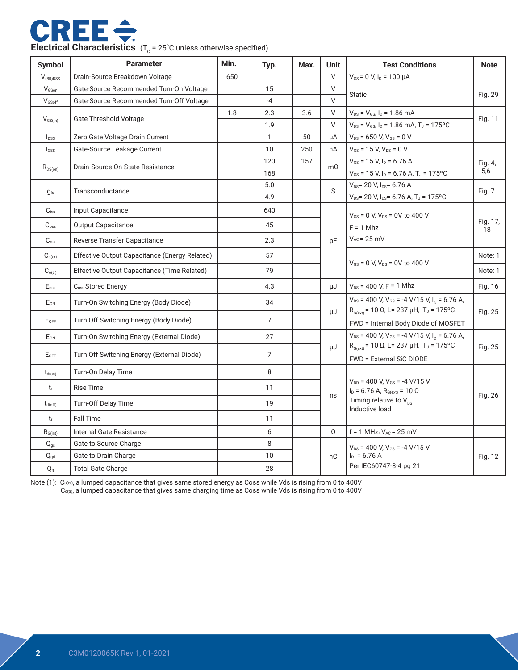

| <b>Symbol</b>             | <b>Parameter</b>                              | Min. | Typ.           | Max. | <b>Unit</b>                                                | <b>Test Conditions</b>                                                                       | <b>Note</b>    |
|---------------------------|-----------------------------------------------|------|----------------|------|------------------------------------------------------------|----------------------------------------------------------------------------------------------|----------------|
| $V_{(BR)DSS}$             | Drain-Source Breakdown Voltage                | 650  |                |      | $\vee$                                                     | $V_{GS}$ = 0 V, $I_D$ = 100 $\mu$ A                                                          |                |
| V <sub>GSon</sub>         | Gate-Source Recommended Turn-On Voltage       |      | 15             |      | V                                                          | <b>Static</b>                                                                                | Fig. 29        |
| VGSoff                    | Gate-Source Recommended Turn-Off Voltage      |      | $-4$           |      | $\vee$                                                     |                                                                                              |                |
| $V_{\text{GS(th)}}$       | Gate Threshold Voltage                        | 1.8  | 2.3            | 3.6  | $\vee$                                                     | $V_{DS} = V_{GS}$ , $I_D = 1.86$ mA                                                          | Fig. 11        |
|                           |                                               |      | 1.9            |      | $\vee$                                                     | $V_{DS}$ = $V_{GS}$ , $I_D$ = 1.86 mA, T <sub>J</sub> = 175°C                                |                |
| $I_{DSS}$                 | Zero Gate Voltage Drain Current               |      | $\mathbf{1}$   | 50   | μA                                                         | $V_{DS}$ = 650 V, $V_{GS}$ = 0 V                                                             |                |
| lgss                      | Gate-Source Leakage Current                   |      | 10             | 250  | nA                                                         | $V_{GS}$ = 15 V, $V_{DS}$ = 0 V                                                              |                |
|                           | Drain-Source On-State Resistance              |      | 120            | 157  | $m\Omega$                                                  | $V_{GS}$ = 15 V, $I_D$ = 6.76 A                                                              | Fig. 4,        |
| $R_{DS(on)}$              |                                               |      | 168            |      |                                                            | $V_{GS}$ = 15 V, I <sub>D</sub> = 6.76 A, T <sub>J</sub> = 175°C                             | 5,6            |
|                           | Transconductance                              |      | 5.0            |      | S                                                          | $V_{DS}$ = 20 V, $I_{DS}$ = 6.76 A                                                           | <b>Fig. 7</b>  |
| $g_{fs}$                  |                                               |      | 4.9            |      |                                                            | $V_{DS}$ = 20 V, $I_{DS}$ = 6.76 A, T <sub>J</sub> = 175°C                                   |                |
| $C_{iss}$                 | Input Capacitance                             |      | 640            |      |                                                            | $V_{GS}$ = 0 V, $V_{DS}$ = 0V to 400 V                                                       |                |
| $C_{\rm oss}$             | <b>Output Capacitance</b>                     |      | 45             |      |                                                            | $F = 1$ Mhz                                                                                  | Fig. 17,<br>18 |
| $C_{\text{rss}}$          | Reverse Transfer Capacitance                  |      | 2.3            |      | pF                                                         | $V_{AC}$ = 25 mV                                                                             |                |
| $C_{o(er)}$               | Effective Output Capacitance (Energy Related) |      | 57             |      |                                                            |                                                                                              | Note: 1        |
| $C_{o(tr)}$               | Effective Output Capacitance (Time Related)   |      | 79             |      |                                                            | $V_{GS}$ = 0 V, $V_{DS}$ = 0V to 400 V                                                       | Note: 1        |
| $E_{\rm oss}$             | C <sub>oss</sub> Stored Energy                |      | 4.3            |      | μJ                                                         | $V_{DS}$ = 400 V, F = 1 Mhz                                                                  | Fig. 16        |
| E <sub>ON</sub>           | Turn-On Switching Energy (Body Diode)         |      | 34             |      |                                                            | $V_{DS}$ = 400 V, V <sub>GS</sub> = -4 V/15 V, I <sub>D</sub> = 6.76 A,                      |                |
| $E_{\rm OFF}$             | Turn Off Switching Energy (Body Diode)        |      | $\overline{7}$ |      | μJ                                                         | $R_{G(xt)}$ = 10 Ω, L= 237 μH, T <sub>J</sub> = 175°C<br>FWD = Internal Body Diode of MOSFET | Fig. 25        |
| $E_{\rm ON}$              | Turn-On Switching Energy (External Diode)     |      | 27             |      |                                                            | $V_{DS}$ = 400 V, V <sub>GS</sub> = -4 V/15 V, I <sub>D</sub> = 6.76 A,                      |                |
| $E_{OFF}$                 | Turn Off Switching Energy (External Diode)    |      | 7              |      | μJ                                                         | $R_{G(ext)}$ = 10 Ω, L = 237 μH, T <sub>J</sub> = 175°C<br><b>FWD = External SiC DIODE</b>   | Fig. 25        |
| $t_{d(on)}$               | Turn-On Delay Time                            |      | 8              |      |                                                            |                                                                                              |                |
| $t_{r}$                   | <b>Rise Time</b>                              |      | 11             |      |                                                            | $V_{DD}$ = 400 V, $V_{GS}$ = -4 V/15 V<br>$ID$ = 6.76 A, R <sub>G(ext)</sub> = 10 Ω          | Fig. 26        |
| $t_{d(\text{off})}$       | <b>Turn-Off Delay Time</b>                    |      | 19             |      | ns<br>Timing relative to $V_{\text{ns}}$<br>Inductive load |                                                                                              |                |
| $t_{\rm f}$               | <b>Fall Time</b>                              |      | 11             |      |                                                            |                                                                                              |                |
| $R_{G(int)}$              | Internal Gate Resistance                      |      | 6              |      | Ω                                                          | $f = 1$ MHz, $V_{AC} = 25$ mV                                                                |                |
| $Q_{gs}$                  | Gate to Source Charge                         |      | 8              |      |                                                            | $V_{DS}$ = 400 V, $V_{GS}$ = -4 V/15 V                                                       |                |
| $Q_{gd}$                  | Gate to Drain Charge                          |      | 10             |      | nC                                                         | $I_D = 6.76 A$                                                                               |                |
| $\mathsf{Q}_{\texttt{g}}$ | <b>Total Gate Charge</b>                      |      | 28             |      |                                                            | Per IEC60747-8-4 pg 21                                                                       |                |

Note (1):  $\rm C_{o(er)}$ , a lumped capacitance that gives same stored energy as Coss while Vds is rising from 0 to 400V  $\mathsf{C}_{\circ$ (tr), a lumped capacitance that gives same charging time as Coss while Vds is rising from 0 to 400V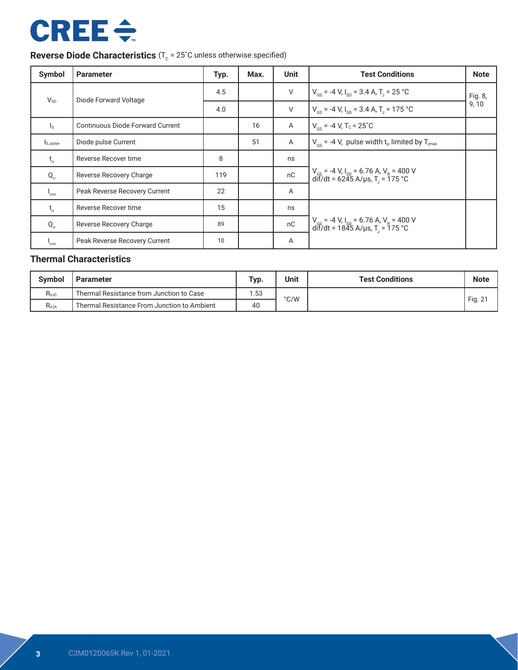# **CREE ÷**

## **Reverse Diode Characteristics** (T<sub>c</sub> = 25°C unless otherwise specified)

| Symbol                                        | <b>Parameter</b>                        | Typ. | Max. | <b>Unit</b> | <b>Test Conditions</b>                                                                                           | <b>Note</b> |
|-----------------------------------------------|-----------------------------------------|------|------|-------------|------------------------------------------------------------------------------------------------------------------|-------------|
| $V_{SD}$                                      | Diode Forward Voltage                   | 4.5  |      | V           | $V_{\text{cs}}$ = -4 V, I <sub>sp</sub> = 3.4 A, T <sub>1</sub> = 25 °C                                          | Fig. 8,     |
|                                               |                                         | 4.0  |      | $\vee$      | $V_{\text{cs}}$ = -4 V, $I_{\text{sn}}$ = 3.4 A, T <sub>1</sub> = 175 °C                                         | 9,10        |
| $\mathsf{I}_\mathsf{S}$                       | <b>Continuous Diode Forward Current</b> |      | 16   | A           | $V_{\text{cs}}$ = -4 V, T <sub>c</sub> = 25 <sup>°</sup> C                                                       |             |
| Is, pulse                                     | Diode pulse Current                     |      | 51   | Α           | $V_{\text{cs}}$ = -4 V, pulse width t <sub>p</sub> limited by T <sub>jmax</sub>                                  |             |
| $t_{\rm r}$                                   | Reverse Recover time                    | 8    |      | ns          |                                                                                                                  |             |
| $Q_{rr}$                                      | Reverse Recovery Charge                 | 119  |      | nC          | $V_{gs}$ = -4 V, I <sub>sp</sub> = 6.76 A, V <sub>R</sub> = 400 V<br>dif/dt = 6245 A/µs, T <sub>J</sub> = 175 °C |             |
| $I_{\rm rm}$                                  | Peak Reverse Recovery Current           | 22   |      | A           |                                                                                                                  |             |
| $t_{rr}$                                      | Reverse Recover time                    | 15   |      | ns          |                                                                                                                  |             |
| $Q_{rr}$                                      | Reverse Recovery Charge                 | 89   |      | nC          | $V_{cs}$ = -4 V, I <sub>sp</sub> = 6.76 A, V <sub>R</sub> = 400 V<br>dif/dt = 1845 A/µs, T <sub>J</sub> = 175 °C |             |
| $\mathsf{r}_{\mathsf{r}\mathsf{r}\mathsf{m}}$ | Peak Reverse Recovery Current           | 10   |      | Α           |                                                                                                                  |             |

### **Thermal Characteristics**

| <b>Symbol</b>     | Parameter                                   | Typ. | <b>Unit</b> | <b>Test Conditions</b> | <b>Note</b> |
|-------------------|---------------------------------------------|------|-------------|------------------------|-------------|
| $R_{\theta$ JC    | Thermal Resistance from Junction to Case    | 1.53 | °C/W        |                        |             |
| R <sub>e.JA</sub> | Thermal Resistance From Junction to Ambient | 40   |             |                        | Fig. 21     |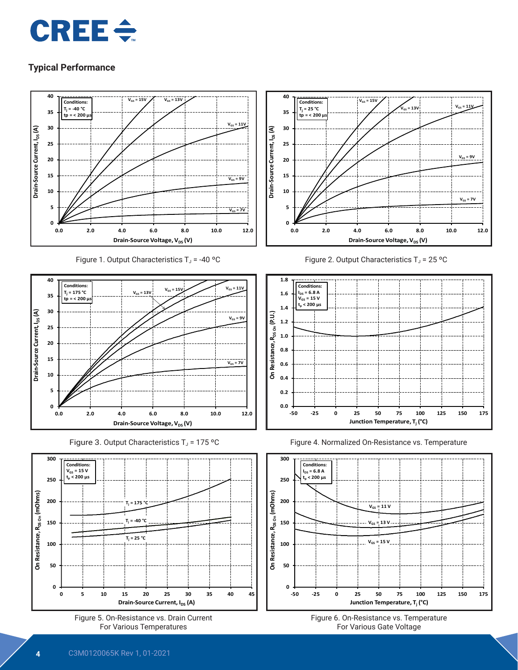



Figure 1. Output Characteristics  $T_J$  = -40 °C











Figure 2. Output Characteristics  $T_J$  = 25 °C







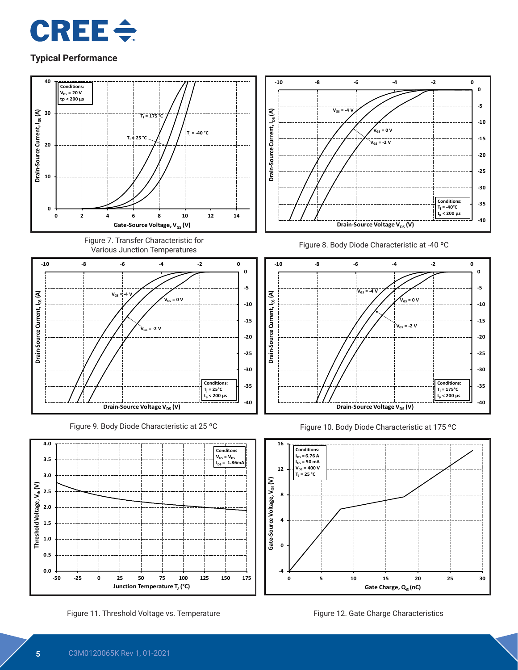



Figure 11. Threshold Voltage vs. Temperature Figure 12. Gate Charge Characteristics

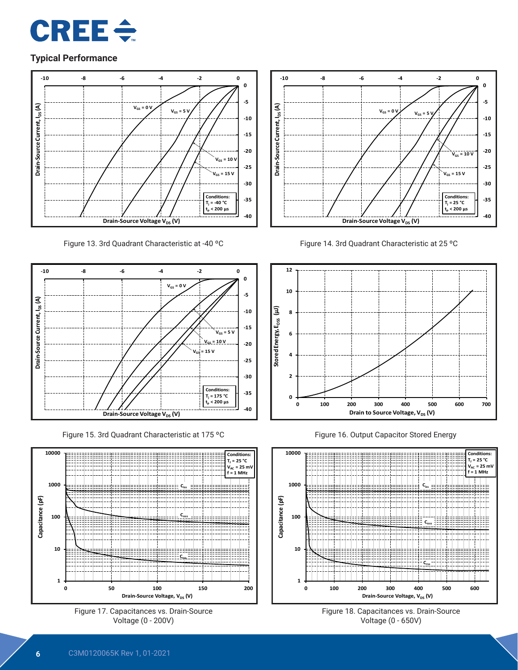



Figure 13. 3rd Quadrant Characteristic at -40 ºC



Figure 15. 3rd Quadrant Characteristic at 175 ºC







Figure 14. 3rd Quadrant Characteristic at 25 ºC



Figure 16. Output Capacitor Stored Energy



Figure 18. Capacitances vs. Drain-Source Voltage (0 - 650V)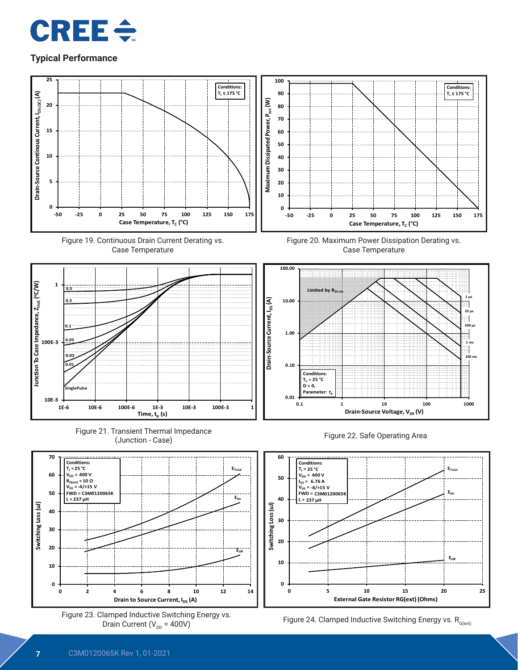











**Conditions: TJ ≤ 175 °C**







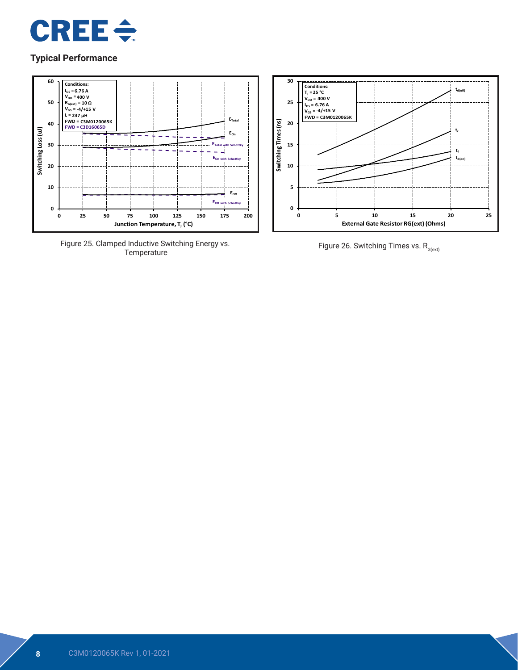



Figure 25. Clamped Inductive Switching Energy vs.



Figure 26. Switching Times vs.  $R_{G(\text{ext})}$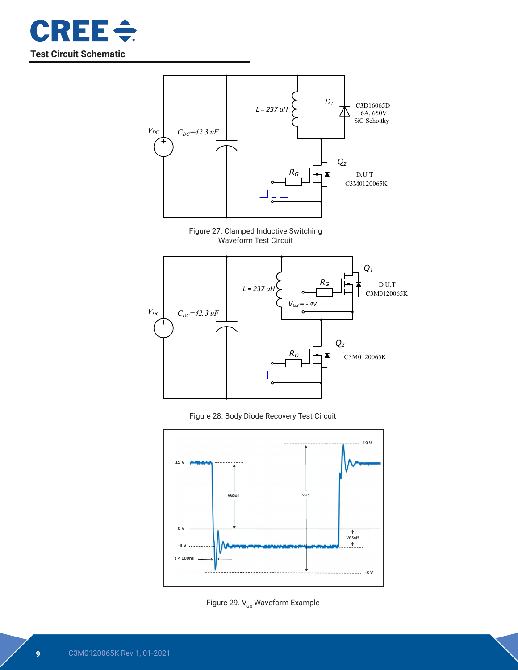











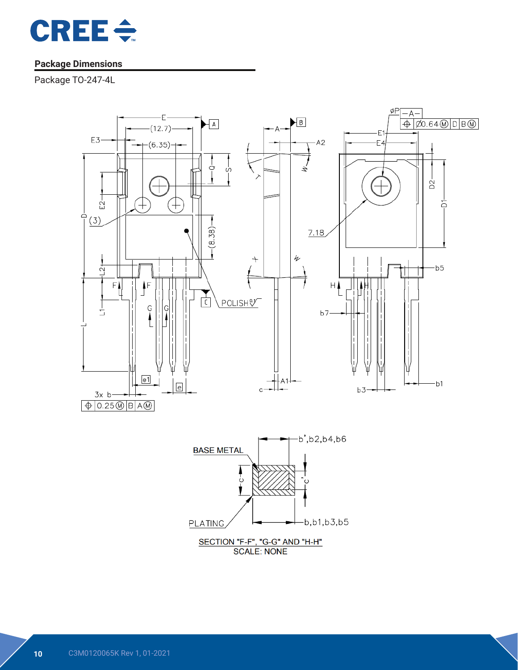

## **Package Dimensions**

Package TO-247-4L

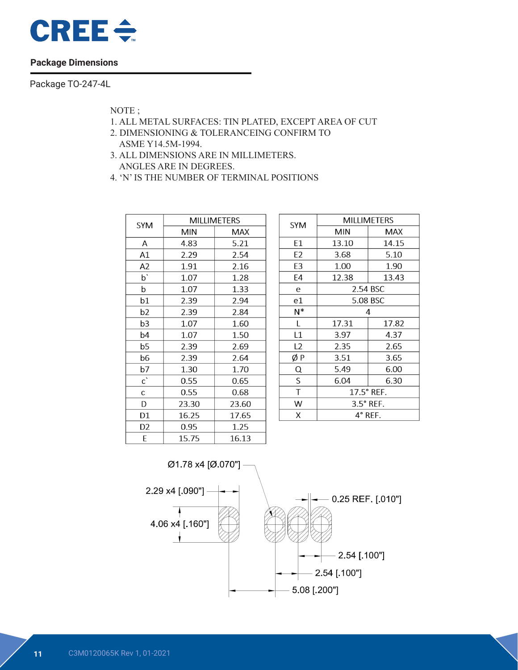

#### **Package Dimensions**

Package TO-247-4L

NOTE ;

- 1. ALL METAL SURFACES: TIN PLATED, EXCEPT AREA OF CUT
- 2. DIMENSIONING & TOLERANCEING CONFIRM TO ASME Y14.5M-1994.
- 3. ALL DIMENSIONS ARE IN MILLIMETERS. ANGLES ARE IN DEGREES.
- 4. 'N' IS THE NUMBER OF TERMINAL POSITIONS

| <b>SYM</b>     | MILLIMETERS |       |  |  |  |
|----------------|-------------|-------|--|--|--|
|                | <b>MIN</b>  | MAX   |  |  |  |
| А              | 4.83        | 5.21  |  |  |  |
| A1             | 2.29        | 2.54  |  |  |  |
| A <sub>2</sub> | 1.91        | 2.16  |  |  |  |
| p,             | 1.07        | 1.28  |  |  |  |
| b              | 1.07        | 1.33  |  |  |  |
| b1             | 2.39        | 2.94  |  |  |  |
| b2             | 2.39        | 2.84  |  |  |  |
| b3             | 1.07        | 1.60  |  |  |  |
| b4             | 1.07        | 1.50  |  |  |  |
| b5             | 2.39        | 2.69  |  |  |  |
| b6             | 2.39        | 2.64  |  |  |  |
| b7             | 1.30        | 1.70  |  |  |  |
| $\mathsf{c}$   | 0.55        | 0.65  |  |  |  |
| C              | 0.55        | 0.68  |  |  |  |
| D              | 23.30       | 23.60 |  |  |  |
| D1             | 16.25       | 17.65 |  |  |  |
| D <sub>2</sub> | 0.95        | 1.25  |  |  |  |
| E              | 15.75       | 16.13 |  |  |  |

| <b>SYM</b>     | <b>MILLIMETERS</b> |          |  |  |  |
|----------------|--------------------|----------|--|--|--|
|                | MIN                | MAX      |  |  |  |
| E1             | 13.10              | 14.15    |  |  |  |
| E <sub>2</sub> | 3.68               | 5.10     |  |  |  |
| E3             | 1.00               | 1.90     |  |  |  |
| E4             | 12.38              | 13.43    |  |  |  |
| е              |                    | 2.54 BSC |  |  |  |
| e1             | 5.08 BSC           |          |  |  |  |
| $N^*$          | 4                  |          |  |  |  |
| Г              | 17.31              | 17.82    |  |  |  |
| L1             | 3.97               | 4.37     |  |  |  |
| L <sub>2</sub> | 2.35               | 2.65     |  |  |  |
| ØΡ             | 3.51               | 3.65     |  |  |  |
| Q              | 5.49               | 6.00     |  |  |  |
| S              | 6.04               | 6.30     |  |  |  |
| T              | 17.5° REF.         |          |  |  |  |
| W              | $3.5^\circ$ REF.   |          |  |  |  |
| X              | $4^\circ$ REF.     |          |  |  |  |